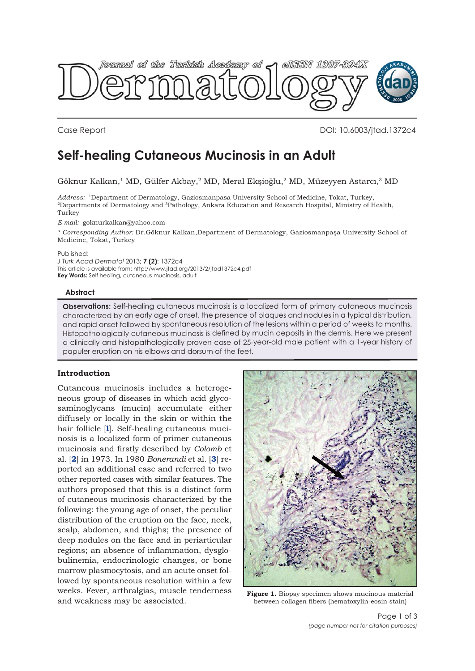

Case Report DOI: 10.6003/jtad.1372c4

# **Self-healing Cutaneous Mucinosis in an Adult**

Göknur Kalkan,1 MD, Gülfer Akbay,2 MD, Meral Ekşioğlu,2 MD, Müzeyyen Astarcı,3 MD

*Address:* 1Department of Dermatology, Gaziosmanpasa University School of Medicine, Tokat, Turkey, 2Departments of Dermatology and 3Pathology, Ankara Education and Research Hospital, Ministry of Health, Turkey

*E-mail:* goknurkalkan@yahoo.com

*\* Corresponding Author:* Dr.Göknur Kalkan,Department of Dermatology, Gaziosmanpaşa University School of Medicine, Tokat, Turkey

Published:

*J Turk Acad Dermatol* 2013; **7 (2)**: 1372c4 This article is available from: http://www.jtad.org/2013/2/jtad1372c4.pdf **Key Words:** Self healing, cutaneous mucinosis, adult

#### **Abstract**

**Observations:** Self-healing cutaneous mucinosis is a localized form of primary cutaneous mucinosis characterized by an early age of onset, the presence of plaques and nodules in a typical distribution, and rapid onset followed by spontaneous resolution of the lesions within a period of weeks to months. Histopathologically cutaneous mucinosis is defined by mucin deposits in the dermis. Here we present a clinically and histopathologically proven case of 25-year-old male patient with a 1-year history of papuler eruption on his elbows and dorsum of the feet.

### **Introduction**

Cutaneous mucinosis includes a heterogeneous group of diseases in which acid glycosaminoglycans (mucin) accumulate either diffusely or locally in the skin or within the hair follicle [**l**]. Self-healing cutaneous mucinosis is a localized form of primer cutaneous mucinosis and firstly described by *Colomb* et al. [**2**] in 1973. In 1980 *Bonerandi* et al. [**3**] reported an additional case and referred to two other reported cases with similar features. The authors proposed that this is a distinct form of cutaneous mucinosis characterized by the following: the young age of onset, the peculiar distribution of the eruption on the face, neck, scalp, abdomen, and thighs; the presence of deep nodules on the face and in periarticular regions; an absence of inflammation, dysglobulinemia, endocrinologic changes, or bone marrow plasmocytosis, and an acute onset followed by spontaneous resolution within a few weeks. Fever, arthralgias, muscle tenderness and weakness may be associated.



**Figure 1.** Biopsy specimen shows mucinous material between collagen fibers (hematoxylin-eosin stain)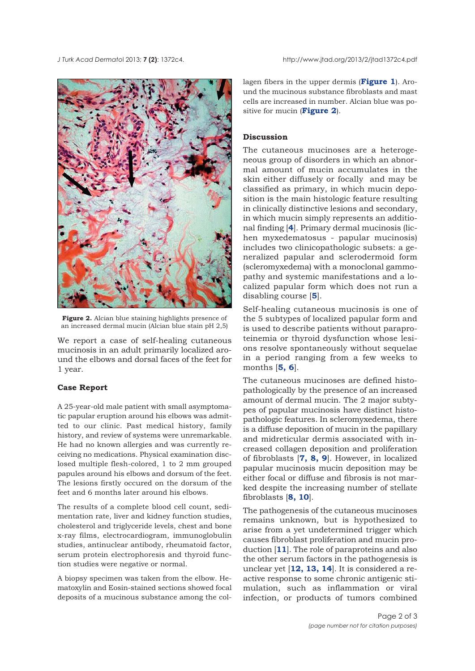

**Figure 2.** Alcian blue staining highlights presence of an increased dermal mucin (Alcian blue stain pH 2,5)

We report a case of self-healing cutaneous mucinosis in an adult primarily localized around the elbows and dorsal faces of the feet for 1 year.

## **Case Report**

A 25-year-old male patient with small asymptomatic papular eruption around his elbows was admitted to our clinic. Past medical history, family history, and review of systems were unremarkable. He had no known allergies and was currently receiving no medications. Physical examination disclosed multiple flesh-colored, 1 to 2 mm grouped papules around his elbows and dorsum of the feet. The lesions firstly occured on the dorsum of the feet and 6 months later around his elbows.

The results of a complete blood cell count, sedimentation rate, liver and kidney function studies, cholesterol and triglyceride levels, chest and bone x-ray films, electrocardiogram, immunoglobulin studies, antinuclear antibody, rheumatoid factor, serum protein electrophoresis and thyroid function studies were negative or normal.

A biopsy specimen was taken from the elbow. Hematoxylin and Eosin-stained sections showed focal deposits of a mucinous substance among the collagen fibers in the upper dermis (**Figure 1**). Around the mucinous substance fibroblasts and mast cells are increased in number. Alcian blue was positive for mucin (**Figure 2**).

## **Discussion**

The cutaneous mucinoses are a heterogeneous group of disorders in which an abnormal amount of mucin accumulates in the skin either diffusely or focally and may be classified as primary, in which mucin deposition is the main histologic feature resulting in clinically distinctive lesions and secondary, in which mucin simply represents an additional finding [**4**]. Primary dermal mucinosis (lichen myxedematosus - papular mucinosis) includes two clinicopathologic subsets: a generalized papular and sclerodermoid form (scleromyxedema) with a monoclonal gammopathy and systemic manifestations and a localized papular form which does not run a disabling course [**5**].

Self-healing cutaneous mucinosis is one of the 5 subtypes of localized papular form and is used to describe patients without paraproteinemia or thyroid dysfunction whose lesions resolve spontaneously without sequelae in a period ranging from a few weeks to months [**5, 6**].

The cutaneous mucinoses are defined histopathologically by the presence of an increased amount of dermal mucin. The 2 major subtypes of papular mucinosis have distinct histopathologic features. In scleromyxedema, there is a diffuse deposition of mucin in the papillary and midreticular dermis associated with increased collagen deposition and proliferation of fibroblasts [**7, 8, 9**]. However, in localized papular mucinosis mucin deposition may be either focal or diffuse and fibrosis is not marked despite the increasing number of stellate fibroblasts [**8, 10**].

The pathogenesis of the cutaneous mucinoses remains unknown, but is hypothesized to arise from a yet undetermined trigger which causes fibroblast proliferation and mucin production [**11**]. The role of paraproteins and also the other serum factors in the pathogenesis is unclear yet [**12, 13, 14**]. It is considered a reactive response to some chronic antigenic stimulation, such as inflammation or viral infection, or products of tumors combined